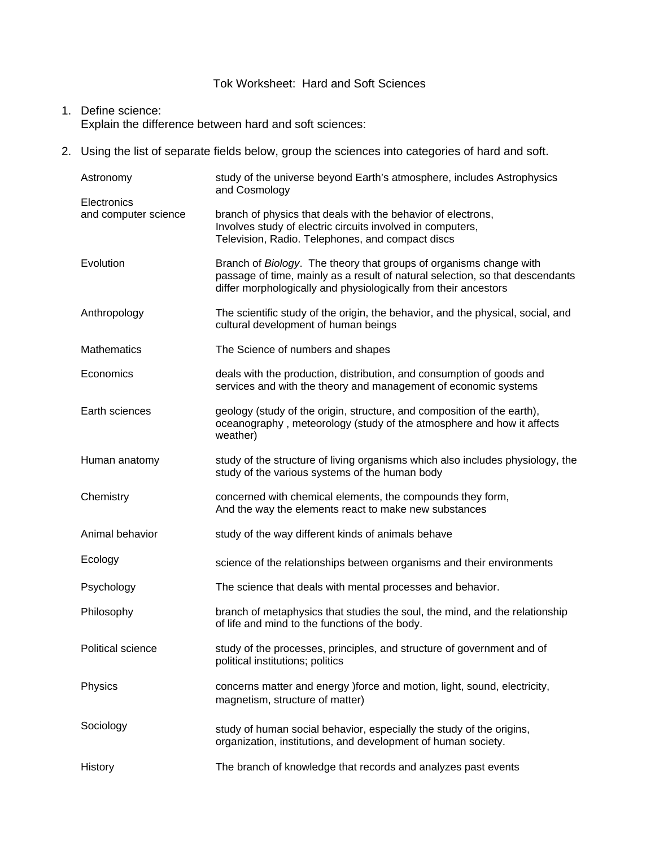# Tok Worksheet: Hard and Soft Sciences

## 1. Define science: Explain the difference between hard and soft sciences:

2. Using the list of separate fields below, group the sciences into categories of hard and soft.

| Astronomy                           | study of the universe beyond Earth's atmosphere, includes Astrophysics<br>and Cosmology                                                                                                                                |
|-------------------------------------|------------------------------------------------------------------------------------------------------------------------------------------------------------------------------------------------------------------------|
| Electronics<br>and computer science | branch of physics that deals with the behavior of electrons,<br>Involves study of electric circuits involved in computers,<br>Television, Radio. Telephones, and compact discs                                         |
| Evolution                           | Branch of Biology. The theory that groups of organisms change with<br>passage of time, mainly as a result of natural selection, so that descendants<br>differ morphologically and physiologically from their ancestors |
| Anthropology                        | The scientific study of the origin, the behavior, and the physical, social, and<br>cultural development of human beings                                                                                                |
| <b>Mathematics</b>                  | The Science of numbers and shapes                                                                                                                                                                                      |
| Economics                           | deals with the production, distribution, and consumption of goods and<br>services and with the theory and management of economic systems                                                                               |
| Earth sciences                      | geology (study of the origin, structure, and composition of the earth),<br>oceanography, meteorology (study of the atmosphere and how it affects<br>weather)                                                           |
| Human anatomy                       | study of the structure of living organisms which also includes physiology, the<br>study of the various systems of the human body                                                                                       |
| Chemistry                           | concerned with chemical elements, the compounds they form,<br>And the way the elements react to make new substances                                                                                                    |
| Animal behavior                     | study of the way different kinds of animals behave                                                                                                                                                                     |
| Ecology                             | science of the relationships between organisms and their environments                                                                                                                                                  |
| Psychology                          | The science that deals with mental processes and behavior.                                                                                                                                                             |
| Philosophy                          | branch of metaphysics that studies the soul, the mind, and the relationship<br>of life and mind to the functions of the body.                                                                                          |
| Political science                   | study of the processes, principles, and structure of government and of<br>political institutions; politics                                                                                                             |
| Physics                             | concerns matter and energy )force and motion, light, sound, electricity,<br>magnetism, structure of matter)                                                                                                            |
| Sociology                           | study of human social behavior, especially the study of the origins,<br>organization, institutions, and development of human society.                                                                                  |
| History                             | The branch of knowledge that records and analyzes past events                                                                                                                                                          |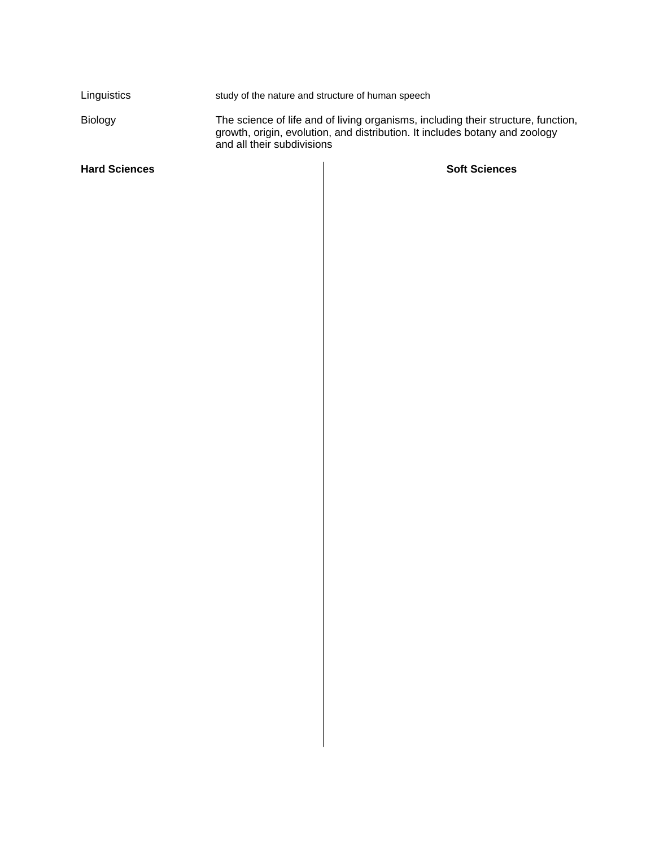| <b>Hard Sciences</b> | <b>Soft Sciences</b>                                                                                                                                                                           |
|----------------------|------------------------------------------------------------------------------------------------------------------------------------------------------------------------------------------------|
| <b>Biology</b>       | The science of life and of living organisms, including their structure, function,<br>growth, origin, evolution, and distribution. It includes botany and zoology<br>and all their subdivisions |
| Linguistics          | study of the nature and structure of human speech                                                                                                                                              |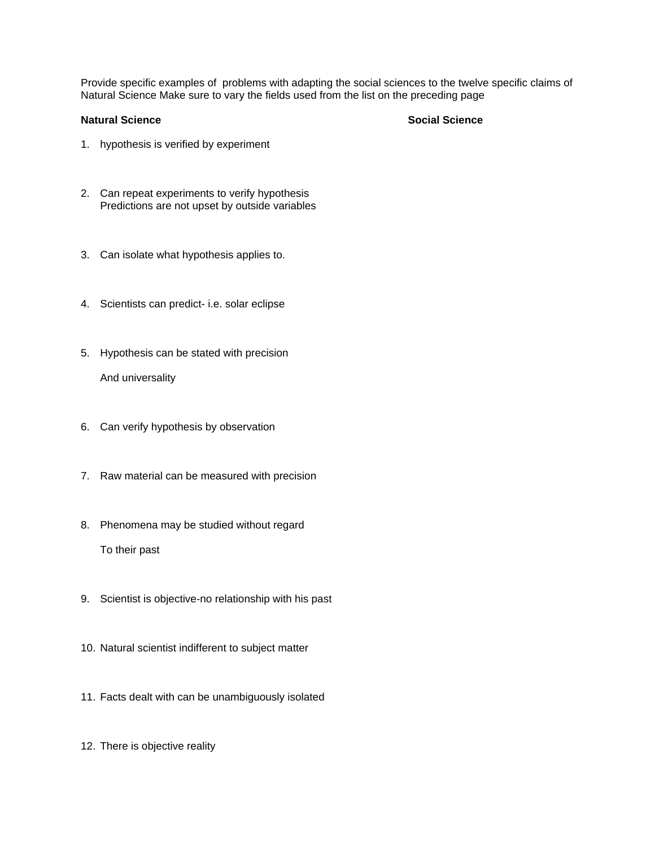Provide specific examples of problems with adapting the social sciences to the twelve specific claims of Natural Science Make sure to vary the fields used from the list on the preceding page

#### **Natural Science Social Science**

- 1. hypothesis is verified by experiment
- 2. Can repeat experiments to verify hypothesis Predictions are not upset by outside variables
- 3. Can isolate what hypothesis applies to.
- 4. Scientists can predict- i.e. solar eclipse
- 5. Hypothesis can be stated with precision And universality
- 6. Can verify hypothesis by observation
- 7. Raw material can be measured with precision
- 8. Phenomena may be studied without regard To their past
- 9. Scientist is objective-no relationship with his past
- 10. Natural scientist indifferent to subject matter
- 11. Facts dealt with can be unambiguously isolated
- 12. There is objective reality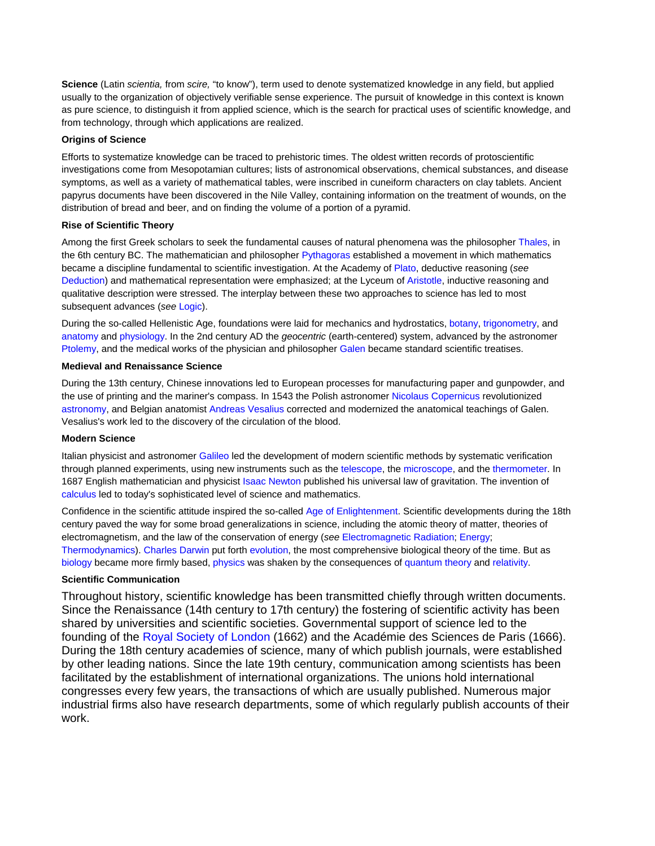**Science** (Latin *scientia,* from *scire,* "to know"), term used to denote systematized knowledge in any field, but applied usually to the organization of objectively verifiable sense experience. The pursuit of knowledge in this context is known as pure science, to distinguish it from applied science, which is the search for practical uses of scientific knowledge, and from technology, through which applications are realized.

#### **Origins of Science**

Efforts to systematize knowledge can be traced to prehistoric times. The oldest written records of protoscientific investigations come from Mesopotamian cultures; lists of astronomical observations, chemical substances, and disease symptoms, as well as a variety of mathematical tables, were inscribed in cuneiform characters on clay tablets. Ancient papyrus documents have been discovered in the Nile Valley, containing information on the treatment of wounds, on the distribution of bread and beer, and on finding the volume of a portion of a pyramid.

#### **Rise of Scientific Theory**

Among the first Greek scholars to seek the fundamental causes of natural phenomena was the philosopher Thales, in the 6th century BC. The mathematician and philosopher Pythagoras established a movement in which mathematics became a discipline fundamental to scientific investigation. At the Academy of Plato, deductive reasoning (*see* Deduction) and mathematical representation were emphasized; at the Lyceum of Aristotle, inductive reasoning and qualitative description were stressed. The interplay between these two approaches to science has led to most subsequent advances (*see* Logic).

During the so-called Hellenistic Age, foundations were laid for mechanics and hydrostatics, botany, trigonometry, and anatomy and physiology. In the 2nd century AD the *geocentric* (earth-centered) system, advanced by the astronomer Ptolemy, and the medical works of the physician and philosopher Galen became standard scientific treatises.

#### **Medieval and Renaissance Science**

During the 13th century, Chinese innovations led to European processes for manufacturing paper and gunpowder, and the use of printing and the mariner's compass. In 1543 the Polish astronomer Nicolaus Copernicus revolutionized astronomy, and Belgian anatomist Andreas Vesalius corrected and modernized the anatomical teachings of Galen. Vesalius's work led to the discovery of the circulation of the blood.

### **Modern Science**

Italian physicist and astronomer Galileo led the development of modern scientific methods by systematic verification through planned experiments, using new instruments such as the telescope, the microscope, and the thermometer. In 1687 English mathematician and physicist Isaac Newton published his universal law of gravitation. The invention of calculus led to today's sophisticated level of science and mathematics.

Confidence in the scientific attitude inspired the so-called Age of Enlightenment. Scientific developments during the 18th century paved the way for some broad generalizations in science, including the atomic theory of matter, theories of electromagnetism, and the law of the conservation of energy (*see* Electromagnetic Radiation; Energy; Thermodynamics). Charles Darwin put forth evolution, the most comprehensive biological theory of the time. But as biology became more firmly based, physics was shaken by the consequences of quantum theory and relativity.

### **Scientific Communication**

Throughout history, scientific knowledge has been transmitted chiefly through written documents. Since the Renaissance (14th century to 17th century) the fostering of scientific activity has been shared by universities and scientific societies. Governmental support of science led to the founding of the Royal Society of London (1662) and the Académie des Sciences de Paris (1666). During the 18th century academies of science, many of which publish journals, were established by other leading nations. Since the late 19th century, communication among scientists has been facilitated by the establishment of international organizations. The unions hold international congresses every few years, the transactions of which are usually published. Numerous major industrial firms also have research departments, some of which regularly publish accounts of their work.